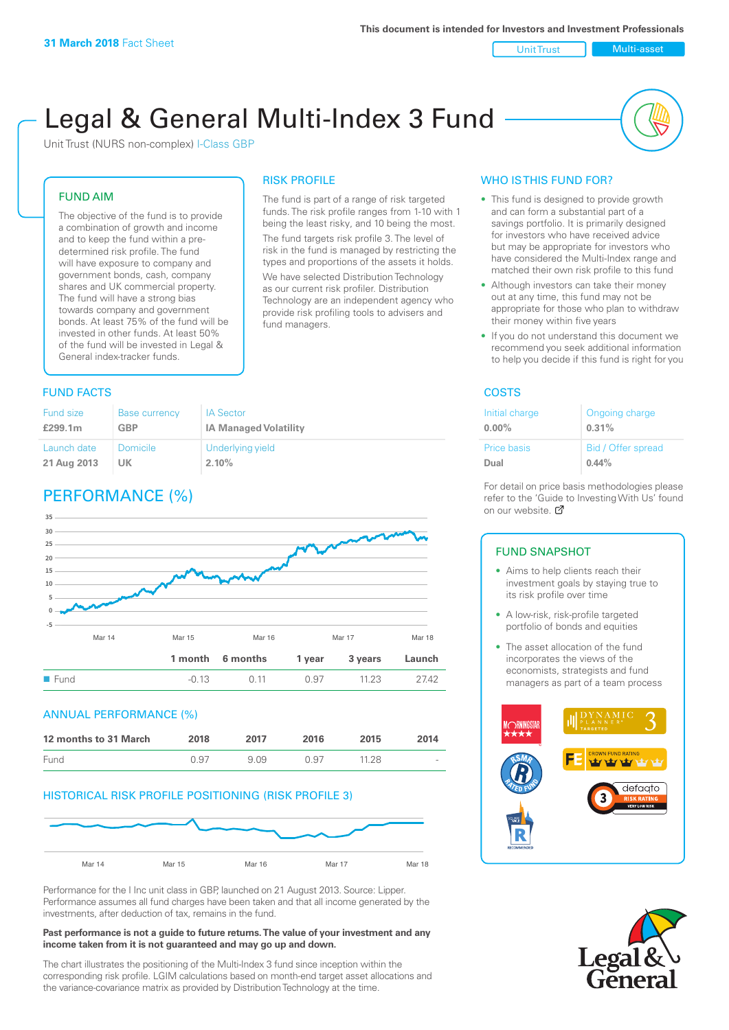Unit Trust Nulti-asset

# Legal & General Multi-Index 3 Fund

RISK PROFILE

fund managers.

The fund is part of a range of risk targeted funds. The risk profile ranges from 1-10 with 1 being the least risky, and 10 being the most. The fund targets risk profile 3. The level of risk in the fund is managed by restricting the types and proportions of the assets it holds. We have selected Distribution Technology as our current risk profiler. Distribution Technology are an independent agency who provide risk profiling tools to advisers and

Unit Trust (NURS non-complex) I-Class GBP

#### FUND AIM

The objective of the fund is to provide a combination of growth and income and to keep the fund within a predetermined risk profile. The fund will have exposure to company and government bonds, cash, company shares and UK commercial property. The fund will have a strong bias towards company and government bonds. At least 75% of the fund will be invested in other funds. At least 50% of the fund will be invested in Legal & General index-tracker funds.

#### **FUND FACTS** COSTS

| <b>Fund size</b> | <b>Base currency</b> | <b>IA Sector</b>             |
|------------------|----------------------|------------------------------|
| £299.1m          | GBP                  | <b>IA Managed Volatility</b> |
| Launch date      | <b>Domicile</b>      | Underlying yield             |
| 21 Aug 2013      | UK                   | 2.10%                        |

## PERFORMANCE (%)



#### ANNUAL PERFORMANCE (%)



#### HISTORICAL RISK PROFILE POSITIONING (RISK PROFILE 3)



Performance for the I Inc unit class in GBP, launched on 21 August 2013. Source: Lipper. Performance assumes all fund charges have been taken and that all income generated by the investments, after deduction of tax, remains in the fund.

#### **Past performance is not a guide to future returns. The value of your investment and any income taken from it is not guaranteed and may go up and down.**

The chart illustrates the positioning of the Multi-Index 3 fund since inception within the corresponding risk profile. LGIM calculations based on month-end target asset allocations and the variance-covariance matrix as provided by Distribution Technology at the time.

#### WHO IS THIS FUND FOR?

- This fund is designed to provide growth and can form a substantial part of a savings portfolio. It is primarily designed for investors who have received advice but may be appropriate for investors who have considered the Multi-Index range and matched their own risk profile to this fund
- Although investors can take their money out at any time, this fund may not be appropriate for those who plan to withdraw their money within five years
- If you do not understand this document we recommend you seek additional information to help you decide if this fund is right for you

| Initial charge     | Ongoing charge     |
|--------------------|--------------------|
| $0.00\%$           | 0.31%              |
| <b>Price basis</b> | Bid / Offer spread |
| Dual               | 0.44%              |

For detail on price basis methodologies please refer to the 'Gu[ide t](http://www.legalandgeneral.com/guide)o Investing With Us' found on our website. Ø

#### FUND SNAPSHOT

- Aims to help clients reach their investment goals by staying true to its risk profile over time
- A low-risk, risk-profile targeted portfolio of bonds and equities
- The asset allocation of the fund incorporates the views of the economists, strategists and fund managers as part of a team process



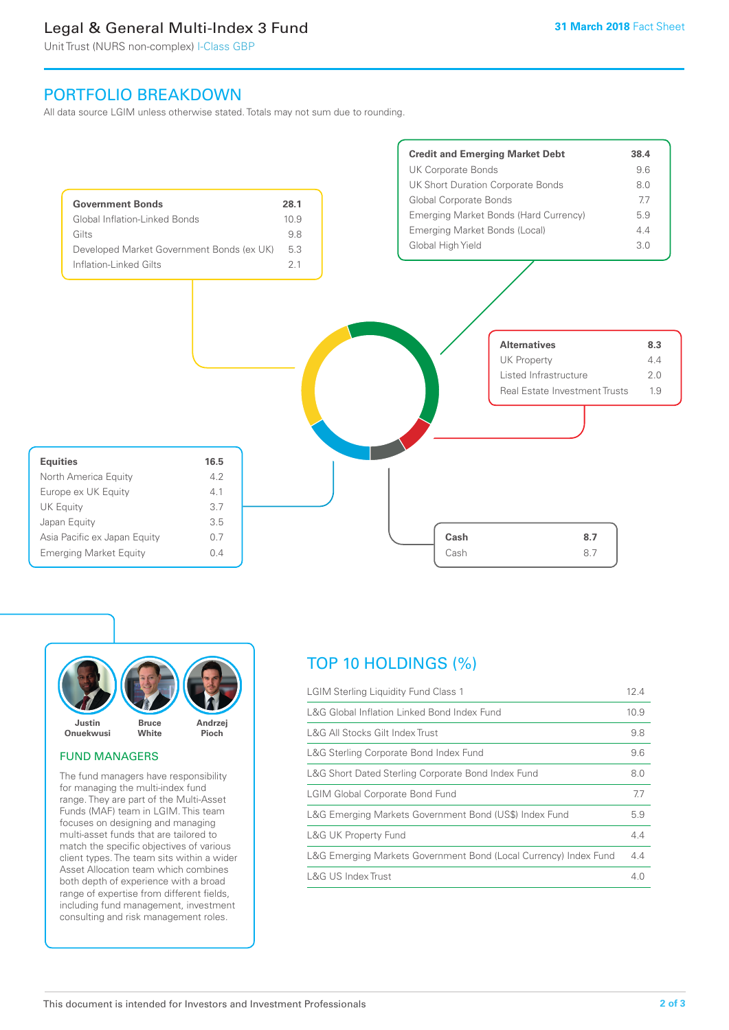## Legal & General Multi-Index 3 Fund

Unit Trust (NURS non-complex) I-Class GBP

## PORTFOLIO BREAKDOWN

All data source LGIM unless otherwise stated. Totals may not sum due to rounding.





#### FUND MANAGERS

The fund managers have responsibility for managing the multi-index fund range. They are part of the Multi-Asset Funds (MAF) team in LGIM. This team focuses on designing and managing multi-asset funds that are tailored to match the specific objectives of various client types. The team sits within a wider Asset Allocation team which combines both depth of experience with a broad range of expertise from different fields, including fund management, investment consulting and risk management roles.

## TOP 10 HOLDINGS (%)

| <b>LGIM Sterling Liquidity Fund Class 1</b>                      | 12.4 |
|------------------------------------------------------------------|------|
| L&G Global Inflation Linked Bond Index Fund                      | 10.9 |
| L&G All Stocks Gilt Index Trust                                  | 9.8  |
| L&G Sterling Corporate Bond Index Fund                           | 9.6  |
| L&G Short Dated Sterling Corporate Bond Index Fund               | 8.0  |
| <b>LGIM Global Corporate Bond Fund</b>                           | 7.7  |
| L&G Emerging Markets Government Bond (US\$) Index Fund           | 5.9  |
| <b>L&amp;G UK Property Fund</b>                                  | 4.4  |
| L&G Emerging Markets Government Bond (Local Currency) Index Fund | 4.4  |
| <b>L&amp;G US Index Trust</b>                                    | 4.0  |